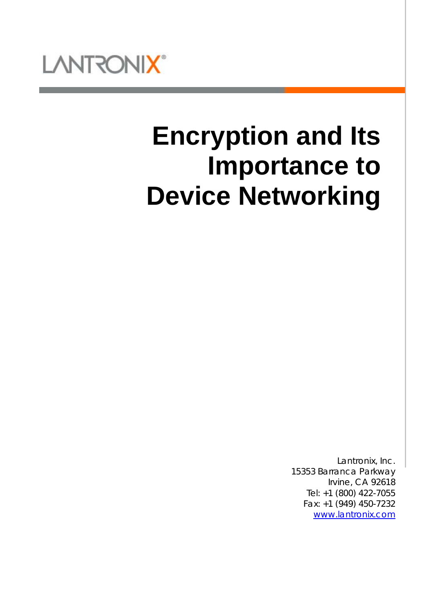

# **Encryption and Its Importance to Device Networking**

Lantronix, Inc. 15353 Barranca Parkway Irvine, CA 92618 Tel: +1 (800) 422-7055 Fax: +1 (949) 450-7232 [www.lantronix.com](http://www.lantronix.com/)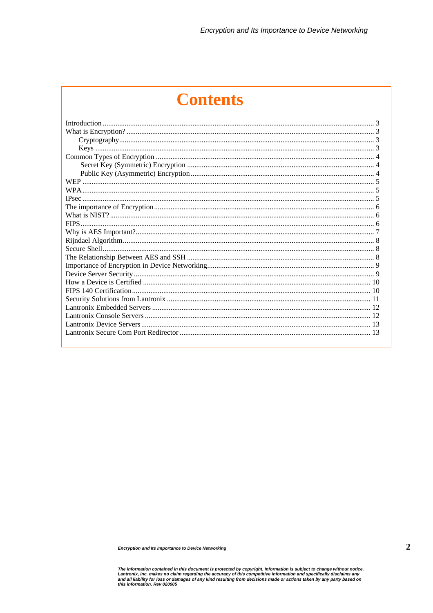# **Contents**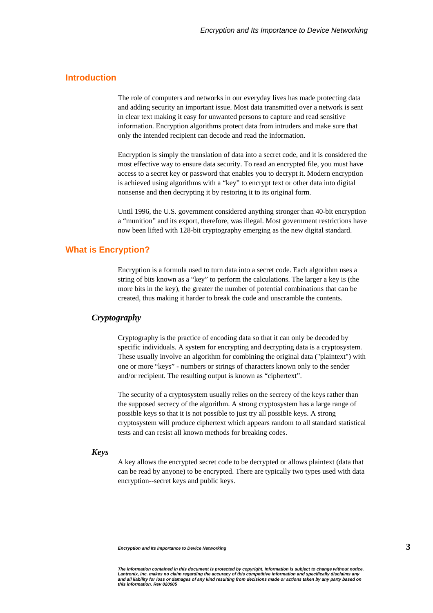# **Introduction**

The role of computers and networks in our everyday lives has made protecting data and adding security an important issue. Most data transmitted over a network is sent in clear text making it easy for unwanted persons to capture and read sensitive information. Encryption algorithms protect data from intruders and make sure that only the intended recipient can decode and read the information.

Encryption is simply the translation of data into a secret code, and it is considered the most effective way to ensure data security. To read an encrypted file, you must have access to a secret key or password that enables you to decrypt it. Modern encryption is achieved using algorithms with a "key" to encrypt text or other data into digital nonsense and then decrypting it by restoring it to its original form.

Until 1996, the U.S. government considered anything stronger than 40-bit encryption a "munition" and its export, therefore, was illegal. Most government restrictions have now been lifted with 128-bit cryptography emerging as the new digital standard.

# **What is Encryption?**

Encryption is a formula used to turn data into a secret code. Each algorithm uses a string of bits known as a "key" to perform the calculations. The larger a key is (the more bits in the key), the greater the number of potential combinations that can be created, thus making it harder to break the code and unscramble the contents.

#### *Cryptography*

Cryptography is the practice of encoding data so that it can only be decoded by specific individuals. A system for encrypting and decrypting data is a cryptosystem. These usually involve an algorithm for combining the original data ("plaintext") with one or more "keys" - numbers or strings of characters known only to the sender and/or recipient. The resulting output is known as "ciphertext".

The security of a cryptosystem usually relies on the secrecy of the keys rather than the supposed secrecy of the algorithm. A strong cryptosystem has a large range of possible keys so that it is not possible to just try all possible keys. A strong cryptosystem will produce ciphertext which appears random to all standard statistical tests and can resist all known methods for breaking codes.

#### *Keys*

A key allows the encrypted secret code to be decrypted or allows plaintext (data that can be read by anyone) to be encrypted. There are typically two types used with data encryption--secret keys and public keys.

The information contained in this document is protected by copyright. Information is subject to change without notice.<br>Lantronix, Inc. makes no claim regarding the accuracy of this competitive information and specifically *and all liability for loss or damages of any kind resulting from decisions made or actions taken by any party based on this information. Rev 020905*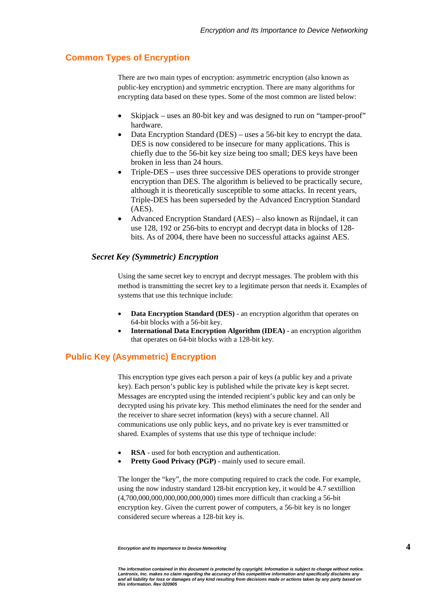# **Common Types of Encryption**

There are two main types of encryption: asymmetric encryption (also known as public-key encryption) and symmetric encryption. There are many algorithms for encrypting data based on these types. Some of the most common are listed below:

- Skipjack uses an 80-bit key and was designed to run on "tamper-proof" hardware.
- Data Encryption Standard (DES) uses a 56-bit key to encrypt the data. DES is now considered to be insecure for many applications. This is chiefly due to the 56-bit key size being too small; DES keys have been broken in less than 24 hours.
- Triple-DES uses three successive DES operations to provide stronger encryption than DES. The algorithm is believed to be practically secure, although it is theoretically susceptible to some attacks. In recent years, Triple-DES has been superseded by the Advanced Encryption Standard (AES).
- Advanced Encryption Standard (AES) also known as Rijndael, it can use 128, 192 or 256-bits to encrypt and decrypt data in blocks of 128 bits. As of 2004, there have been no successful attacks against AES.

#### *Secret Key (Symmetric) Encryption*

Using the same secret key to encrypt and decrypt messages. The problem with this method is transmitting the secret key to a legitimate person that needs it. Examples of systems that use this technique include:

- **Data Encryption Standard (DES)** an encryption algorithm that operates on 64-bit blocks with a 56-bit key.
- **International Data Encryption Algorithm (IDEA)** an encryption algorithm that operates on 64-bit blocks with a 128-bit key.

# **Public Key (Asymmetric) Encryption**

This encryption type gives each person a pair of keys (a public key and a private key). Each person's public key is published while the private key is kept secret. Messages are encrypted using the intended recipient's public key and can only be decrypted using his private key. This method eliminates the need for the sender and the receiver to share secret information (keys) with a secure channel. All communications use only public keys, and no private key is ever transmitted or shared. Examples of systems that use this type of technique include:

- **RSA** used for both encryption and authentication.
- **Pretty Good Privacy (PGP)** mainly used to secure email.

The longer the "key", the more computing required to crack the code. For example, using the now industry standard 128-bit encryption key, it would be 4.7 sextillion (4,700,000,000,000,000,000,000) times more difficult than cracking a 56-bit encryption key. Given the current power of computers, a 56-bit key is no longer considered secure whereas a 128-bit key is.

The information contained in this document is protected by copyright. Information is subject to change without notice.<br>Lantronix, Inc. makes no claim regarding the accuracy of this competitive information and specifically *and all liability for loss or damages of any kind resulting from decisions made or actions taken by any party based on this information. Rev 020905*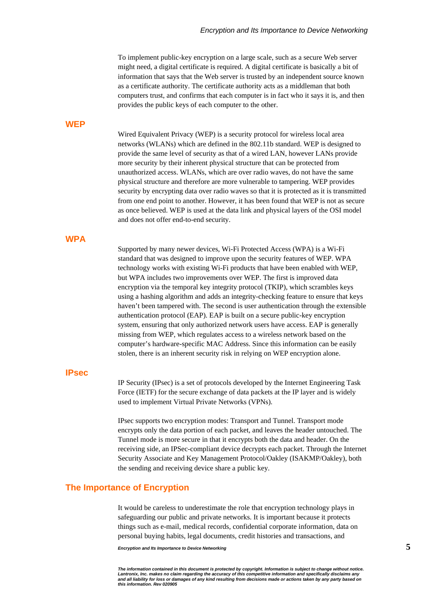To implement public-key encryption on a large scale, such as a secure Web server might need, a digital certificate is required. A digital certificate is basically a bit of information that says that the Web server is trusted by an independent source known as a certificate authority. The certificate authority acts as a middleman that both computers trust, and confirms that each computer is in fact who it says it is, and then provides the public keys of each computer to the other.

#### **WEP**

Wired Equivalent Privacy (WEP) is a security protocol for wireless local area networks (WLANs) which are defined in the 802.11b standard. WEP is designed to provide the same level of security as that of a wired LAN, however LANs provide more security by their inherent physical structure that can be protected from unauthorized access. WLANs, which are over radio waves, do not have the same physical structure and therefore are more vulnerable to tampering. WEP provides security by encrypting data over radio waves so that it is protected as it is transmitted from one end point to another. However, it has been found that WEP is not as secure as once believed. WEP is used at the data link and physical layers of the OSI model and does not offer end-to-end security.

#### **WPA**

Supported by many newer devices, Wi-Fi Protected Access (WPA) is a Wi-Fi standard that was designed to improve upon the security features of WEP. WPA technology works with existing Wi-Fi products that have been enabled with WEP, but WPA includes two improvements over WEP. The first is improved data encryption via the temporal key integrity protocol (TKIP), which scrambles keys using a hashing algorithm and adds an integrity-checking feature to ensure that keys haven't been tampered with. The second is user authentication through the extensible authentication protocol (EAP). EAP is built on a secure public-key encryption system, ensuring that only authorized network users have access. EAP is generally missing from WEP, which regulates access to a wireless network based on the computer's hardware-specific MAC Address. Since this information can be easily stolen, there is an inherent security risk in relying on WEP encryption alone.

# **IPsec**

IP Security (IPsec) is a set of protocols developed by the Internet Engineering Task Force (IETF) for the secure exchange of data packets at the IP layer and is widely used to implement Virtual Private Networks (VPNs).

IPsec supports two encryption modes: Transport and Tunnel. Transport mode encrypts only the data portion of each packet, and leaves the header untouched. The Tunnel mode is more secure in that it encrypts both the data and header. On the receiving side, an IPSec-compliant device decrypts each packet. Through the Internet Security Associate and Key Management Protocol/Oakley (ISAKMP/Oakley), both the sending and receiving device share a public key.

## **The Importance of Encryption**

It would be careless to underestimate the role that encryption technology plays in safeguarding our public and private networks. It is important because it protects things such as e-mail, medical records, confidential corporate information, data on personal buying habits, legal documents, credit histories and transactions, and

*Encryption and Its Importance to Device Networking* **5**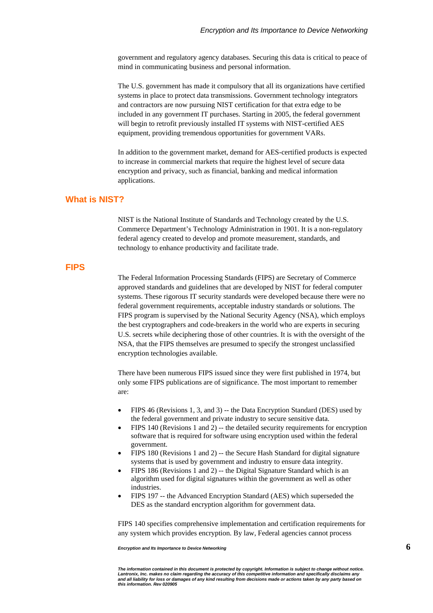government and regulatory agency databases. Securing this data is critical to peace of mind in communicating business and personal information.

The U.S. government has made it compulsory that all its organizations have certified systems in place to protect data transmissions. Government technology integrators and contractors are now pursuing NIST certification for that extra edge to be included in any government IT purchases. Starting in 2005, the federal government will begin to retrofit previously installed IT systems with NIST-certified AES equipment, providing tremendous opportunities for government VARs.

In addition to the government market, demand for AES-certified products is expected to increase in commercial markets that require the highest level of secure data encryption and privacy, such as financial, banking and medical information applications.

# **What is NIST?**

NIST is the National Institute of Standards and Technology created by the U.S. Commerce Department's Technology Administration in 1901. It is a non-regulatory federal agency created to develop and promote measurement, standards, and technology to enhance productivity and facilitate trade.

### **FIPS**

The Federal Information Processing Standards (FIPS) are Secretary of Commerce approved standards and guidelines that are developed by NIST for federal computer systems. These rigorous IT security standards were developed because there were no federal government requirements, acceptable industry standards or solutions. The FIPS program is supervised by the National Security Agency (NSA), which employs the best cryptographers and code-breakers in the world who are experts in securing U.S. secrets while deciphering those of other countries. It is with the oversight of the NSA, that the FIPS themselves are presumed to specify the strongest unclassified encryption technologies available.

There have been numerous FIPS issued since they were first published in 1974, but only some FIPS publications are of significance. The most important to remember are:

- FIPS 46 (Revisions 1, 3, and 3) -- the Data Encryption Standard (DES) used by the federal government and private industry to secure sensitive data.
- FIPS 140 (Revisions 1 and 2) -- the detailed security requirements for encryption software that is required for software using encryption used within the federal government.
- FIPS 180 (Revisions 1 and 2) -- the Secure Hash Standard for digital signature systems that is used by government and industry to ensure data integrity.
- FIPS 186 (Revisions 1 and 2) -- the Digital Signature Standard which is an algorithm used for digital signatures within the government as well as other industries.
- FIPS 197 -- the Advanced Encryption Standard (AES) which superseded the DES as the standard encryption algorithm for government data.

FIPS 140 specifies comprehensive implementation and certification requirements for any system which provides encryption. By law, Federal agencies cannot process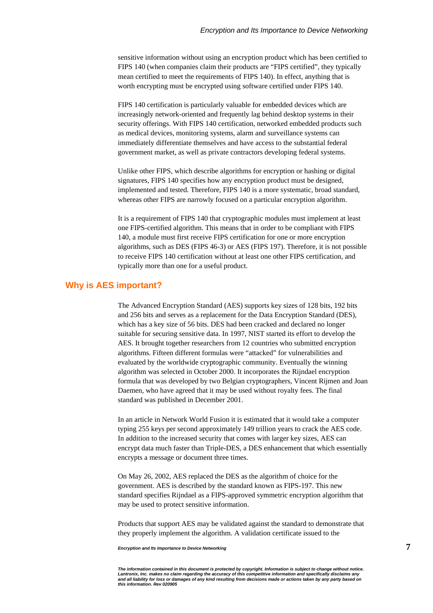sensitive information without using an encryption product which has been certified to FIPS 140 (when companies claim their products are "FIPS certified", they typically mean certified to meet the requirements of FIPS 140). In effect, anything that is worth encrypting must be encrypted using software certified under FIPS 140.

FIPS 140 certification is particularly valuable for embedded devices which are increasingly network-oriented and frequently lag behind desktop systems in their security offerings. With FIPS 140 certification, networked embedded products such as medical devices, monitoring systems, alarm and surveillance systems can immediately differentiate themselves and have access to the substantial federal government market, as well as private contractors developing federal systems.

Unlike other FIPS, which describe algorithms for encryption or hashing or digital signatures, FIPS 140 specifies how any encryption product must be designed, implemented and tested. Therefore, FIPS 140 is a more systematic, broad standard, whereas other FIPS are narrowly focused on a particular encryption algorithm.

It is a requirement of FIPS 140 that cryptographic modules must implement at least one FIPS-certified algorithm. This means that in order to be compliant with FIPS 140, a module must first receive FIPS certification for one or more encryption algorithms, such as DES (FIPS 46-3) or AES (FIPS 197). Therefore, it is not possible to receive FIPS 140 certification without at least one other FIPS certification, and typically more than one for a useful product.

# **Why is AES important?**

The Advanced Encryption Standard (AES) supports key sizes of 128 bits, 192 bits and 256 bits and serves as a replacement for the Data Encryption Standard (DES), which has a key size of 56 bits. DES had been cracked and declared no longer suitable for securing sensitive data. In 1997, NIST started its effort to develop the AES. It brought together researchers from 12 countries who submitted encryption algorithms. Fifteen different formulas were "attacked" for vulnerabilities and evaluated by the worldwide cryptographic community. Eventually the winning algorithm was selected in October 2000. It incorporates the Rijndael encryption formula that was developed by two Belgian cryptographers, Vincent Rijmen and Joan Daemen, who have agreed that it may be used without royalty fees. The final standard was published in December 2001.

In an article in Network World Fusion it is estimated that it would take a computer typing 255 keys per second approximately 149 trillion years to crack the AES code. In addition to the increased security that comes with larger key sizes, AES can encrypt data much faster than Triple-DES, a DES enhancement that which essentially encrypts a message or document three times.

On May 26, 2002, AES replaced the DES as the algorithm of choice for the government. AES is described by the standard known as FIPS-197. This new standard specifies Rijndael as a FIPS-approved symmetric encryption algorithm that may be used to protect sensitive information.

Products that support AES may be validated against the standard to demonstrate that they properly implement the algorithm. A validation certificate issued to the

The information contained in this document is protected by copyright. Information is subject to change without notice.<br>Lantronix, Inc. makes no claim regarding the accuracy of this competitive information and specifically *and all liability for loss or damages of any kind resulting from decisions made or actions taken by any party based on this information. Rev 020905*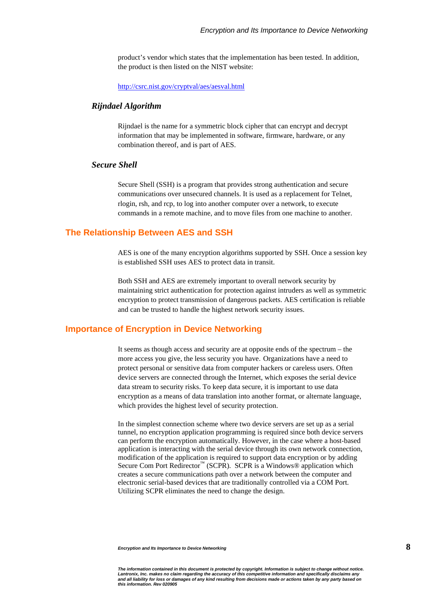product's vendor which states that the implementation has been tested. In addition, the product is then listed on the NIST website:

<http://csrc.nist.gov/cryptval/aes/aesval.html>

#### *Rijndael Algorithm*

Rijndael is the name for a symmetric block cipher that can encrypt and decrypt information that may be implemented in software, firmware, hardware, or any combination thereof, and is part of AES.

#### *Secure Shell*

Secure Shell (SSH) is a program that provides strong authentication and secure communications over unsecured channels. It is used as a replacement for Telnet, rlogin, rsh, and rcp, to log into another computer over a network, to execute commands in a remote machine, and to move files from one machine to another.

#### **The Relationship Between AES and SSH**

AES is one of the many encryption algorithms supported by SSH. Once a session key is established SSH uses AES to protect data in transit.

Both SSH and AES are extremely important to overall network security by maintaining strict authentication for protection against intruders as well as symmetric encryption to protect transmission of dangerous packets. AES certification is reliable and can be trusted to handle the highest network security issues.

#### **Importance of Encryption in Device Networking**

It seems as though access and security are at opposite ends of the spectrum – the more access you give, the less security you have. Organizations have a need to protect personal or sensitive data from computer hackers or careless users. Often device servers are connected through the Internet, which exposes the serial device data stream to security risks. To keep data secure, it is important to use data encryption as a means of data translation into another format, or alternate language, which provides the highest level of security protection.

In the simplest connection scheme where two device servers are set up as a serial tunnel, no encryption application programming is required since both device servers can perform the encryption automatically. However, in the case where a host-based application is interacting with the serial device through its own network connection, modification of the application is required to support data encryption or by adding Secure Com Port Redirector<sup>™</sup> (SCPR). SCPR is a Windows® application which creates a secure communications path over a network between the computer and electronic serial-based devices that are traditionally controlled via a COM Port. Utilizing SCPR eliminates the need to change the design.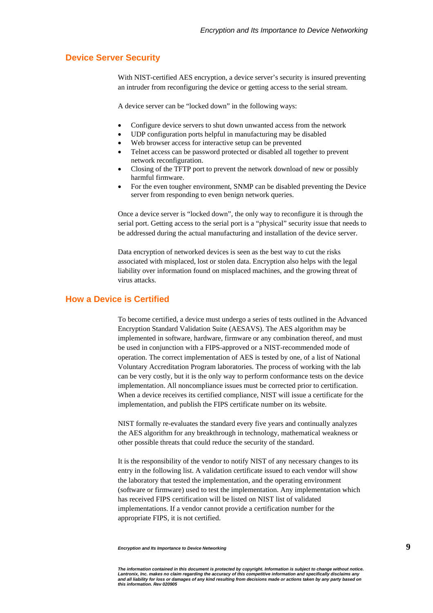# **Device Server Security**

With NIST-certified AES encryption, a device server's security is insured preventing an intruder from reconfiguring the device or getting access to the serial stream.

A device server can be "locked down" in the following ways:

- Configure device servers to shut down unwanted access from the network
- UDP configuration ports helpful in manufacturing may be disabled
- Web browser access for interactive setup can be prevented
- Telnet access can be password protected or disabled all together to prevent network reconfiguration.
- Closing of the TFTP port to prevent the network download of new or possibly harmful firmware.
- For the even tougher environment, SNMP can be disabled preventing the Device server from responding to even benign network queries.

Once a device server is "locked down", the only way to reconfigure it is through the serial port. Getting access to the serial port is a "physical" security issue that needs to be addressed during the actual manufacturing and installation of the device server.

Data encryption of networked devices is seen as the best way to cut the risks associated with misplaced, lost or stolen data. Encryption also helps with the legal liability over information found on misplaced machines, and the growing threat of virus attacks.

# **How a Device is Certified**

To become certified, a device must undergo a series of tests outlined in the Advanced Encryption Standard Validation Suite (AESAVS). The AES algorithm may be implemented in software, hardware, firmware or any combination thereof, and must be used in conjunction with a FIPS-approved or a NIST-recommended mode of operation. The correct implementation of AES is tested by one, of a list of National Voluntary Accreditation Program laboratories. The process of working with the lab can be very costly, but it is the only way to perform conformance tests on the device implementation. All noncompliance issues must be corrected prior to certification. When a device receives its certified compliance, NIST will issue a certificate for the implementation, and publish the FIPS certificate number on its website.

NIST formally re-evaluates the standard every five years and continually analyzes the AES algorithm for any breakthrough in technology, mathematical weakness or other possible threats that could reduce the security of the standard.

It is the responsibility of the vendor to notify NIST of any necessary changes to its entry in the following list. A validation certificate issued to each vendor will show the laboratory that tested the implementation, and the operating environment (software or firmware) used to test the implementation. Any implementation which has received FIPS certification will be listed on NIST list of validated implementations. If a vendor cannot provide a certification number for the appropriate FIPS, it is not certified.

*Encryption and Its Importance to Device Networking* **9**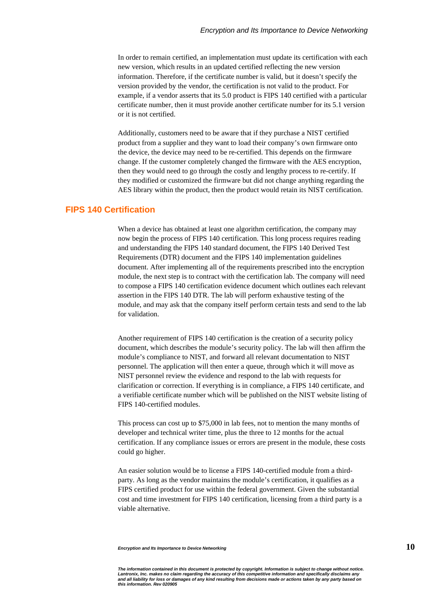In order to remain certified, an implementation must update its certification with each new version, which results in an updated certified reflecting the new version information. Therefore, if the certificate number is valid, but it doesn't specify the version provided by the vendor, the certification is not valid to the product. For example, if a vendor asserts that its 5.0 product is FIPS 140 certified with a particular certificate number, then it must provide another certificate number for its 5.1 version or it is not certified.

Additionally, customers need to be aware that if they purchase a NIST certified product from a supplier and they want to load their company's own firmware onto the device, the device may need to be re-certified. This depends on the firmware change. If the customer completely changed the firmware with the AES encryption, then they would need to go through the costly and lengthy process to re-certify. If they modified or customized the firmware but did not change anything regarding the AES library within the product, then the product would retain its NIST certification.

#### **FIPS 140 Certification**

When a device has obtained at least one algorithm certification, the company may now begin the process of FIPS 140 certification. This long process requires reading and understanding the FIPS 140 standard document, the FIPS 140 Derived Test Requirements (DTR) document and the FIPS 140 implementation guidelines document. After implementing all of the requirements prescribed into the encryption module, the next step is to contract with the certification lab. The company will need to compose a FIPS 140 certification evidence document which outlines each relevant assertion in the FIPS 140 DTR. The lab will perform exhaustive testing of the module, and may ask that the company itself perform certain tests and send to the lab for validation.

Another requirement of FIPS 140 certification is the creation of a security policy document, which describes the module's security policy. The lab will then affirm the module's compliance to NIST, and forward all relevant documentation to NIST personnel. The application will then enter a queue, through which it will move as NIST personnel review the evidence and respond to the lab with requests for clarification or correction. If everything is in compliance, a FIPS 140 certificate, and a verifiable certificate number which will be published on the NIST website listing of FIPS 140-certified modules.

This process can cost up to \$75,000 in lab fees, not to mention the many months of developer and technical writer time, plus the three to 12 months for the actual certification. If any compliance issues or errors are present in the module, these costs could go higher.

An easier solution would be to license a FIPS 140-certified module from a thirdparty. As long as the vendor maintains the module's certification, it qualifies as a FIPS certified product for use within the federal government. Given the substantial cost and time investment for FIPS 140 certification, licensing from a third party is a viable alternative.

*Encryption and Its Importance to Device Networking* **10**

The information contained in this document is protected by copyright. Information is subject to change without notice.<br>Lantronix, Inc. makes no claim regarding the accuracy of this competitive information and specifically *and all liability for loss or damages of any kind resulting from decisions made or actions taken by any party based on this information. Rev 020905*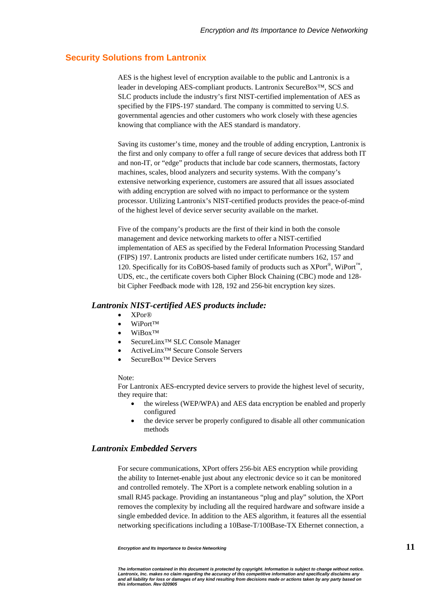# **Security Solutions from Lantronix**

AES is the highest level of encryption available to the public and Lantronix is a leader in developing AES-compliant products. Lantronix SecureBox™, SCS and SLC products include the industry's first NIST-certified implementation of AES as specified by the FIPS-197 standard. The company is committed to serving U.S. governmental agencies and other customers who work closely with these agencies knowing that compliance with the AES standard is mandatory.

Saving its customer's time, money and the trouble of adding encryption, Lantronix is the first and only company to offer a full range of secure devices that address both IT and non-IT, or "edge" products that include bar code scanners, thermostats, factory machines, scales, blood analyzers and security systems. With the company's extensive networking experience, customers are assured that all issues associated with adding encryption are solved with no impact to performance or the system processor. Utilizing Lantronix's NIST-certified products provides the peace-of-mind of the highest level of device server security available on the market.

Five of the company's products are the first of their kind in both the console management and device networking markets to offer a NIST-certified implementation of AES as specified by the Federal Information Processing Standard (FIPS) 197. Lantronix products are listed under certificate numbers 162, 157 and 120. Specifically for its CoBOS-based family of products such as  $XPort^{\otimes}$ , WiPort<sup>™</sup>, UDS, etc., the certificate covers both Cipher Block Chaining (CBC) mode and 128 bit Cipher Feedback mode with 128, 192 and 256-bit encryption key sizes.

#### *Lantronix NIST-certified AES products include:*

- XPor®
- WiPort™
- WiBox<sup>TM</sup>
- SecureLinx™ SLC Console Manager
- ActiveLinx™ Secure Console Servers
- SecureBox<sup>™</sup> Device Servers

#### Note:

For Lantronix AES-encrypted device servers to provide the highest level of security, they require that:

- the wireless (WEP/WPA) and AES data encryption be enabled and properly configured
- the device server be properly configured to disable all other communication methods

#### *Lantronix Embedded Servers*

For secure communications, XPort offers 256-bit AES encryption while providing the ability to Internet-enable just about any electronic device so it can be monitored and controlled remotely. The XPort is a complete network enabling solution in a small RJ45 package. Providing an instantaneous "plug and play" solution, the XPort removes the complexity by including all the required hardware and software inside a single embedded device. In addition to the AES algorithm, it features all the essential networking specifications including a 10Base-T/100Base-TX Ethernet connection, a

*Encryption and Its Importance to Device Networking* **11**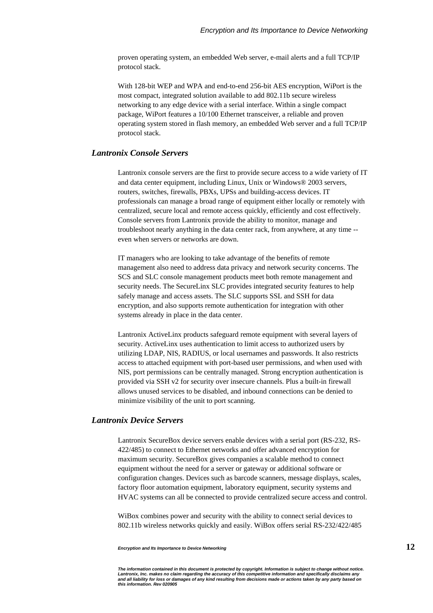proven operating system, an embedded Web server, e-mail alerts and a full TCP/IP protocol stack.

With 128-bit WEP and WPA and end-to-end 256-bit AES encryption, WiPort is the most compact, integrated solution available to add 802.11b secure wireless networking to any edge device with a serial interface. Within a single compact package, WiPort features a 10/100 Ethernet transceiver, a reliable and proven operating system stored in flash memory, an embedded Web server and a full TCP/IP protocol stack.

# *Lantronix Console Servers*

Lantronix console servers are the first to provide secure access to a wide variety of IT and data center equipment, including Linux, Unix or Windows® 2003 servers, routers, switches, firewalls, PBXs, UPSs and building-access devices. IT professionals can manage a broad range of equipment either locally or remotely with centralized, secure local and remote access quickly, efficiently and cost effectively. Console servers from Lantronix provide the ability to monitor, manage and troubleshoot nearly anything in the data center rack, from anywhere, at any time - even when servers or networks are down.

IT managers who are looking to take advantage of the benefits of remote management also need to address data privacy and network security concerns. The SCS and SLC console management products meet both remote management and security needs. The SecureLinx SLC provides integrated security features to help safely manage and access assets. The SLC supports SSL and SSH for data encryption, and also supports remote authentication for integration with other systems already in place in the data center.

Lantronix ActiveLinx products safeguard remote equipment with several layers of security. ActiveLinx uses authentication to limit access to authorized users by utilizing LDAP, NIS, RADIUS, or local usernames and passwords. It also restricts access to attached equipment with port-based user permissions, and when used with NIS, port permissions can be centrally managed. Strong encryption authentication is provided via SSH v2 for security over insecure channels. Plus a built-in firewall allows unused services to be disabled, and inbound connections can be denied to minimize visibility of the unit to port scanning.

# *Lantronix Device Servers*

Lantronix SecureBox device servers enable devices with a serial port (RS-232, RS-422/485) to connect to Ethernet networks and offer advanced encryption for maximum security. SecureBox gives companies a scalable method to connect equipment without the need for a server or gateway or additional software or configuration changes. Devices such as barcode scanners, message displays, scales, factory floor automation equipment, laboratory equipment, security systems and HVAC systems can all be connected to provide centralized secure access and control.

WiBox combines power and security with the ability to connect serial devices to 802.11b wireless networks quickly and easily. WiBox offers serial RS-232/422/485

*Encryption and Its Importance to Device Networking* **12**